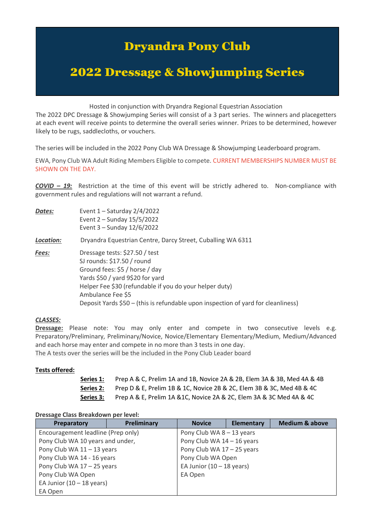# Dryandra Pony Club

# 2022 Dressage & Showjumping Series

Hosted in conjunction with Dryandra Regional Equestrian Association

The 2022 DPC Dressage & Showjumping Series will consist of a 3 part series. The winners and placegetters at each event will receive points to determine the overall series winner. Prizes to be determined, however likely to be rugs, saddlecloths, or vouchers.

The series will be included in the 2022 Pony Club WA Dressage & Showjumping Leaderboard program.

EWA, Pony Club WA Adult Riding Members Eligible to compete. CURRENT MEMBERSHIPS NUMBER MUST BE SHOWN ON THE DAY.

*COVID – 19:* Restriction at the time of this event will be strictly adhered to. Non-compliance with government rules and regulations will not warrant a refund.

| Dates:    | Event $1 -$ Saturday 2/4/2022<br>Event 2 - Sunday 15/5/2022<br>Event 3 - Sunday 12/6/2022                                                                                                                                                                                                               |  |  |
|-----------|---------------------------------------------------------------------------------------------------------------------------------------------------------------------------------------------------------------------------------------------------------------------------------------------------------|--|--|
| Location: | Dryandra Equestrian Centre, Darcy Street, Cuballing WA 6311                                                                                                                                                                                                                                             |  |  |
| Fees:     | Dressage tests: \$27.50 / test<br>SJ rounds: \$17.50 / round<br>Ground fees: \$5 / horse / day<br>Yards \$50 / yard 9\$20 for yard<br>Helper Fee \$30 (refundable if you do your helper duty)<br>Ambulance Fee \$5<br>Deposit Yards \$50 - (this is refundable upon inspection of yard for cleanliness) |  |  |

#### *CLASSES:*

**Dressage:** Please note: You may only enter and compete in two consecutive levels e.g. Preparatory/Preliminary, Preliminary/Novice, Novice/Elementary Elementary/Medium, Medium/Advanced and each horse may enter and compete in no more than 3 tests in one day.

The A tests over the series will be the included in the Pony Club Leader board

#### **Tests offered:**

**Series 1:** Prep A & C, Prelim 1A and 1B, Novice 2A & 2B, Elem 3A & 3B, Med 4A & 4B **Series 2:** Prep D & E, Prelim 1B & 1C, Novice 2B & 2C, Elem 3B & 3C, Med 4B & 4C **Series 3:** Prep A & E, Prelim 1A &1C, Novice 2A & 2C, Elem 3A & 3C Med 4A & 4C

#### **Dressage Class Breakdown per level:**

| Preparatory                        | Preliminary                 | <b>Novice</b> | Elementary | <b>Medium &amp; above</b> |
|------------------------------------|-----------------------------|---------------|------------|---------------------------|
| Encouragement leadline (Prep only) | Pony Club WA 8 - 13 years   |               |            |                           |
| Pony Club WA 10 years and under,   | Pony Club WA 14 - 16 years  |               |            |                           |
| Pony Club WA 11 - 13 years         | Pony Club WA 17 - 25 years  |               |            |                           |
| Pony Club WA 14 - 16 years         | Pony Club WA Open           |               |            |                           |
| Pony Club WA 17 - 25 years         | EA Junior $(10 - 18$ years) |               |            |                           |
| Pony Club WA Open                  | EA Open                     |               |            |                           |
| EA Junior $(10 - 18$ years)        |                             |               |            |                           |
| EA Open                            |                             |               |            |                           |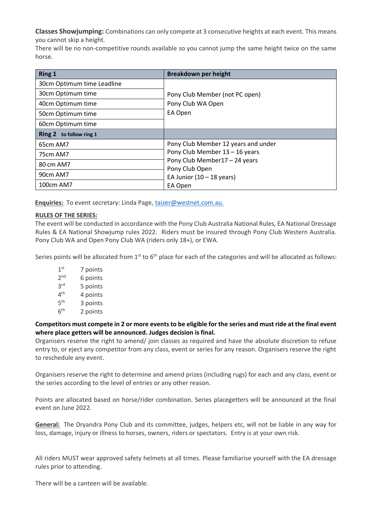**Classes Showjumping:** Combinations can only compete at 3 consecutive heights at each event. This means you cannot skip a height.

There will be no non-competitive rounds available so you cannot jump the same height twice on the same horse.

| <b>Ring 1</b>                     | <b>Breakdown per height</b>                                                                                                 |  |  |
|-----------------------------------|-----------------------------------------------------------------------------------------------------------------------------|--|--|
| 30cm Optimum time Leadline        | Pony Club Member (not PC open)<br>Pony Club WA Open                                                                         |  |  |
| 30cm Optimum time                 |                                                                                                                             |  |  |
| 40cm Optimum time                 |                                                                                                                             |  |  |
| 50cm Optimum time                 | EA Open                                                                                                                     |  |  |
| 60cm Optimum time                 |                                                                                                                             |  |  |
| <b>Ring 2</b><br>to follow ring 1 |                                                                                                                             |  |  |
| 65cm AM7                          | Pony Club Member 12 years and under                                                                                         |  |  |
| 75cm AM7                          | Pony Club Member 13 - 16 years<br>Pony Club Member17 - 24 years<br>Pony Club Open<br>EA Junior $(10 - 18$ years)<br>EA Open |  |  |
| 80 cm AM7                         |                                                                                                                             |  |  |
| 90cm AM7                          |                                                                                                                             |  |  |
| 100cm AM7                         |                                                                                                                             |  |  |

**Enquiries:** To event secretary: Linda Page, [taizer@westnet.com.au.](mailto:taizer@westnet.com.au)

## **RULES OF THE SERIES:**

The event will be conducted in accordance with the Pony Club Australia National Rules, EA National Dressage Rules & EA National Showjump rules 2022. Riders must be insured through Pony Club Western Australia. Pony Club WA and Open Pony Club WA (riders only 18+), or EWA.

Series points will be allocated from  $1<sup>st</sup>$  to  $6<sup>th</sup>$  place for each of the categories and will be allocated as follows:

 $1<sup>st</sup>$ 7 points  $2<sub>nd</sub>$ 6 points **3rd** 5 points  $4<sup>th</sup>$ 4 points  $5<sup>th</sup>$ 3 points  $6<sup>th</sup>$ 2 points

**Competitors must compete in 2 or more events to be eligible for the series and must ride at the final event where place getters will be announced. Judges decision is final.**

Organisers reserve the right to amend/ join classes as required and have the absolute discretion to refuse entry to, or eject any competitor from any class, event or series for any reason. Organisers reserve the right to reschedule any event.

Organisers reserve the right to determine and amend prizes (including rugs) for each and any class, event or the series according to the level of entries or any other reason.

Points are allocated based on horse/rider combination. Series placegetters will be announced at the final event on June 2022.

**General:** The Dryandra Pony Club and its committee, judges, helpers etc, will not be liable in any way for loss, damage, injury or illness to horses, owners, riders or spectators. Entry is at your own risk.

All riders MUST wear approved safety helmets at all times. Please familiarise yourself with the EA dressage rules prior to attending.

There will be a canteen will be available.